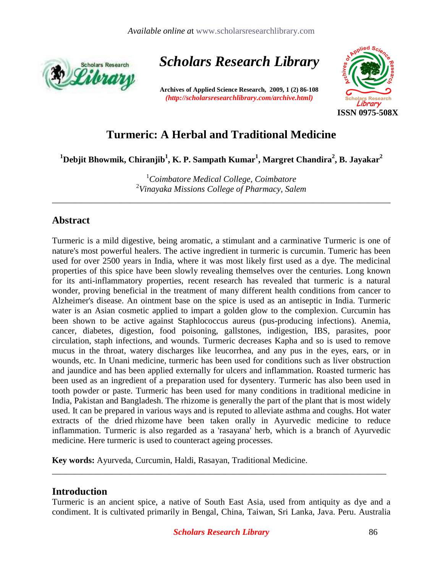

*Scholars Research Library* 

**Archives of Applied Science Research, 2009, 1 (2) 86-108** *(http://scholarsresearchlibrary.com/archive.html)* 



# **Turmeric: A Herbal and Traditional Medicine**

 $^1$ Debjit Bhowmik, Chiranjib $^1$ , K. P. Sampath Kumar $^1$ , Margret Chandira $^2$ , B. Jayakar $^2$ 

<sup>1</sup>*Coimbatore Medical College, Coimbatore*  2 *Vinayaka Missions College of Pharmacy, Salem* 

\_\_\_\_\_\_\_\_\_\_\_\_\_\_\_\_\_\_\_\_\_\_\_\_\_\_\_\_\_\_\_\_\_\_\_\_\_\_\_\_\_\_\_\_\_\_\_\_\_\_\_\_\_\_\_\_\_\_\_\_\_\_\_\_\_\_\_\_\_\_\_\_\_\_\_\_\_\_

# **Abstract**

Turmeric is a mild digestive, being aromatic, a stimulant and a carminative Turmeric is one of nature's most powerful healers. The active ingredient in turmeric is curcumin. Tumeric has been used for over 2500 years in India, where it was most likely first used as a dye. The medicinal properties of this spice have been slowly revealing themselves over the centuries. Long known for its anti-inflammatory properties, recent research has revealed that turmeric is a natural wonder, proving beneficial in the treatment of many different health conditions from cancer to Alzheimer's disease. An ointment base on the spice is used as an antiseptic in India. Turmeric water is an Asian cosmetic applied to impart a golden glow to the complexion. Curcumin has been shown to be active against Staphlococcus aureus (pus-producing infections). Anemia, cancer, diabetes, digestion, food poisoning, gallstones, indigestion, IBS, parasites, poor circulation, staph infections, and wounds. Turmeric decreases Kapha and so is used to remove mucus in the throat, watery discharges like leucorrhea, and any pus in the eyes, ears, or in wounds, etc. In Unani medicine, turmeric has been used for conditions such as liver obstruction and jaundice and has been applied externally for ulcers and inflammation. Roasted turmeric has been used as an ingredient of a preparation used for dysentery. Turmeric has also been used in tooth powder or paste. Turmeric has been used for many conditions in traditional medicine in India, Pakistan and Bangladesh. The rhizome is generally the part of the plant that is most widely used. It can be prepared in various ways and is reputed to alleviate asthma and coughs. Hot water extracts of the dried rhizome have been taken orally in Ayurvedic medicine to reduce inflammation. Turmeric is also regarded as a 'rasayana' herb, which is a branch of Ayurvedic medicine. Here turmeric is used to counteract ageing processes.

**Key words:** Ayurveda, Curcumin, Haldi, Rasayan, Traditional Medicine.

## **Introduction**

Turmeric is an ancient spice, a native of South East Asia, used from antiquity as dye and a condiment. It is cultivated primarily in Bengal, China, Taiwan, Sri Lanka, Java. Peru. Australia

\_\_\_\_\_\_\_\_\_\_\_\_\_\_\_\_\_\_\_\_\_\_\_\_\_\_\_\_\_\_\_\_\_\_\_\_\_\_\_\_\_\_\_\_\_\_\_\_\_\_\_\_\_\_\_\_\_\_\_\_\_\_\_\_\_\_\_\_\_\_\_\_\_\_\_\_\_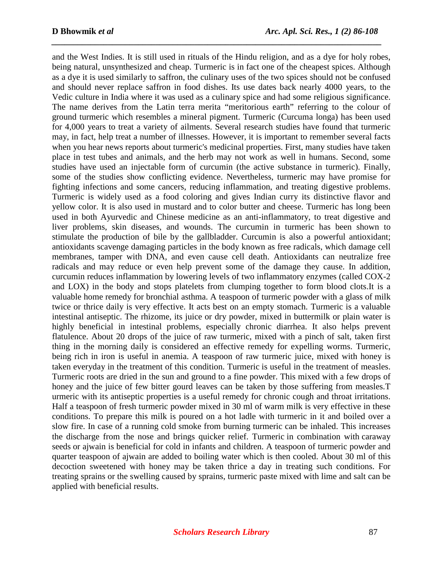and the West Indies. It is still used in rituals of the Hindu religion, and as a dye for holy robes, being natural, unsynthesized and cheap. Turmeric is in fact one of the cheapest spices. Although as a dye it is used similarly to saffron, the culinary uses of the two spices should not be confused and should never replace saffron in food dishes. Its use dates back nearly 4000 years, to the Vedic culture in India where it was used as a culinary spice and had some religious significance. The name derives from the Latin terra merita "meritorious earth" referring to the colour of ground turmeric which resembles a mineral pigment. Turmeric (Curcuma longa) has been used for 4,000 years to treat a variety of ailments. Several research studies have found that turmeric may, in fact, help treat a number of illnesses. However, it is important to remember several facts when you hear news reports about turmeric's medicinal properties. First, many studies have taken place in test tubes and animals, and the herb may not work as well in humans. Second, some studies have used an injectable form of curcumin (the active substance in turmeric). Finally, some of the studies show conflicting evidence. Nevertheless, turmeric may have promise for fighting infections and some cancers, reducing inflammation, and treating digestive problems. Turmeric is widely used as a food coloring and gives Indian curry its distinctive flavor and yellow color. It is also used in mustard and to color butter and cheese. Turmeric has long been used in both Ayurvedic and Chinese medicine as an anti-inflammatory, to treat digestive and liver problems, skin diseases, and wounds. The curcumin in turmeric has been shown to stimulate the production of bile by the gallbladder. Curcumin is also a powerful antioxidant; antioxidants scavenge damaging particles in the body known as free radicals, which damage cell membranes, tamper with DNA, and even cause cell death. Antioxidants can neutralize free radicals and may reduce or even help prevent some of the damage they cause. In addition, curcumin reduces inflammation by lowering levels of two inflammatory enzymes (called COX-2 and LOX) in the body and stops platelets from clumping together to form blood clots.It is a valuable home remedy for bronchial asthma. A teaspoon of turmeric powder with a glass of milk twice or thrice daily is very effective. It acts best on an empty stomach. Turmeric is a valuable intestinal antiseptic. The rhizome, its juice or dry powder, mixed in buttermilk or plain water is highly beneficial in intestinal problems, especially chronic diarrhea. It also helps prevent flatulence. About 20 drops of the juice of raw turmeric, mixed with a pinch of salt, taken first thing in the morning daily is considered an effective remedy for expelling worms. Turmeric, being rich in iron is useful in anemia. A teaspoon of raw turmeric juice, mixed with honey is taken everyday in the treatment of this condition. Turmeric is useful in the treatment of measles. Turmeric roots are dried in the sun and ground to a fine powder. This mixed with a few drops of honey and the juice of few bitter gourd leaves can be taken by those suffering from measles. T urmeric with its antiseptic properties is a useful remedy for chronic cough and throat irritations. Half a teaspoon of fresh turmeric powder mixed in 30 ml of warm milk is very effective in these conditions. To prepare this milk is poured on a hot ladle with turmeric in it and boiled over a slow fire. In case of a running cold smoke from burning turmeric can be inhaled. This increases the discharge from the nose and brings quicker relief. Turmeric in combination with caraway seeds or ajwain is beneficial for cold in infants and children. A teaspoon of turmeric powder and quarter teaspoon of ajwain are added to boiling water which is then cooled. About 30 ml of this decoction sweetened with honey may be taken thrice a day in treating such conditions. For treating sprains or the swelling caused by sprains, turmeric paste mixed with lime and salt can be applied with beneficial results.

*\_\_\_\_\_\_\_\_\_\_\_\_\_\_\_\_\_\_\_\_\_\_\_\_\_\_\_\_\_\_\_\_\_\_\_\_\_\_\_\_\_\_\_\_\_\_\_\_\_\_\_\_\_\_\_\_\_\_\_\_\_\_\_\_\_\_\_\_\_\_\_\_\_\_\_\_*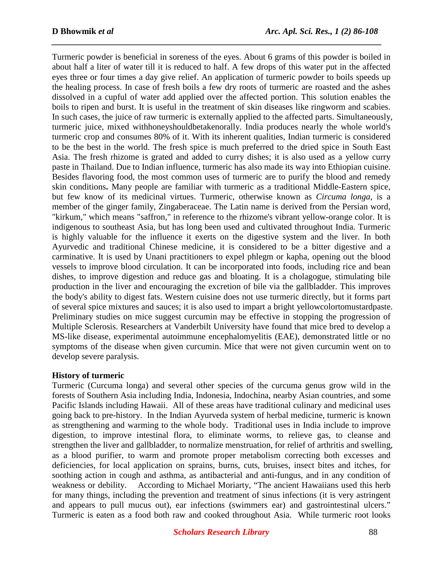Turmeric powder is beneficial in soreness of the eyes. About 6 grams of this powder is boiled in about half a liter of water till it is reduced to half. A few drops of this water put in the affected eyes three or four times a day give relief. An application of turmeric powder to boils speeds up the healing process. In case of fresh boils a few dry roots of turmeric are roasted and the ashes dissolved in a cupful of water add applied over the affected portion. This solution enables the boils to ripen and burst. It is useful in the treatment of skin diseases like ringworm and scabies. In such cases, the juice of raw turmeric is externally applied to the affected parts. Simultaneously, turmeric juice, mixed withhoneyshouldbetakenorally. India produces nearly the whole world's turmeric crop and consumes 80% of it. With its inherent qualities, Indian turmeric is considered to be the best in the world. The fresh spice is much preferred to the dried spice in South East Asia. The fresh rhizome is grated and added to curry dishes; it is also used as a yellow curry paste in Thailand. Due to Indian influence, turmeric has also made its way into Ethiopian cuisine. Besides flavoring food, the most common uses of turmeric are to purify the blood and remedy skin conditions**.** Many people are familiar with turmeric as a traditional Middle-Eastern spice, but few know of its medicinal virtues. Turmeric, otherwise known as *Circuma longa*, is a member of the ginger family, Zingaberaceae. The Latin name is derived from the Persian word, "kirkum," which means "saffron," in reference to the rhizome's vibrant yellow-orange color. It is indigenous to southeast Asia, but has long been used and cultivated throughout India. Turmeric is highly valuable for the influence it exerts on the digestive system and the liver. In both Ayurvedic and traditional Chinese medicine, it is considered to be a bitter digestive and a carminative. It is used by Unani practitioners to expel phlegm or kapha, opening out the blood vessels to improve blood circulation. It can be incorporated into foods, including rice and bean dishes, to improve digestion and reduce gas and bloating. It is a cholagogue, stimulating bile production in the liver and encouraging the excretion of bile via the gallbladder. This improves the body's ability to digest fats. Western cuisine does not use turmeric directly, but it forms part of several spice mixtures and sauces; it is also used to impart a bright yellowcolortomustardpaste. Preliminary studies on mice suggest curcumin may be effective in stopping the progression of Multiple Sclerosis. Researchers at Vanderbilt University have found that mice bred to develop a MS-like disease, experimental autoimmune encephalomyelitis (EAE), demonstrated little or no symptoms of the disease when given curcumin. Mice that were not given curcumin went on to develop severe paralysis.

*\_\_\_\_\_\_\_\_\_\_\_\_\_\_\_\_\_\_\_\_\_\_\_\_\_\_\_\_\_\_\_\_\_\_\_\_\_\_\_\_\_\_\_\_\_\_\_\_\_\_\_\_\_\_\_\_\_\_\_\_\_\_\_\_\_\_\_\_\_\_\_\_\_\_\_\_*

### **History of turmeric**

Turmeric (Curcuma longa) and several other species of the curcuma genus grow wild in the forests of Southern Asia including India, Indonesia, Indochina, nearby Asian countries, and some Pacific Islands including Hawaii. All of these areas have traditional culinary and medicinal uses going back to pre-history. In the Indian Ayurveda system of herbal medicine, turmeric is known as strengthening and warming to the whole body. Traditional uses in India include to improve digestion, to improve intestinal flora, to eliminate worms, to relieve gas, to cleanse and strengthen the liver and gallbladder, to normalize menstruation, for relief of arthritis and swelling, as a blood purifier, to warm and promote proper metabolism correcting both excesses and deficiencies, for local application on sprains, burns, cuts, bruises, insect bites and itches, for soothing action in cough and asthma, as antibacterial and anti-fungus, and in any condition of weakness or debility. According to Michael Moriarty, "The ancient Hawaiians used this herb for many things, including the prevention and treatment of sinus infections (it is very astringent and appears to pull mucus out), ear infections (swimmers ear) and gastrointestinal ulcers." Turmeric is eaten as a food both raw and cooked throughout Asia. While turmeric root looks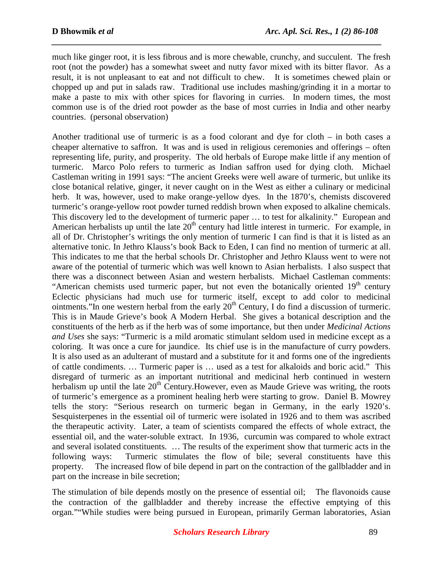much like ginger root, it is less fibrous and is more chewable, crunchy, and succulent. The fresh root (not the powder) has a somewhat sweet and nutty favor mixed with its bitter flavor. As a result, it is not unpleasant to eat and not difficult to chew. It is sometimes chewed plain or chopped up and put in salads raw. Traditional use includes mashing/grinding it in a mortar to make a paste to mix with other spices for flavoring in curries. In modern times, the most common use is of the dried root powder as the base of most curries in India and other nearby countries. (personal observation)

*\_\_\_\_\_\_\_\_\_\_\_\_\_\_\_\_\_\_\_\_\_\_\_\_\_\_\_\_\_\_\_\_\_\_\_\_\_\_\_\_\_\_\_\_\_\_\_\_\_\_\_\_\_\_\_\_\_\_\_\_\_\_\_\_\_\_\_\_\_\_\_\_\_\_\_\_*

Another traditional use of turmeric is as a food colorant and dye for cloth – in both cases a cheaper alternative to saffron. It was and is used in religious ceremonies and offerings – often representing life, purity, and prosperity. The old herbals of Europe make little if any mention of turmeric. Marco Polo refers to turmeric as Indian saffron used for dying cloth. Michael Castleman writing in 1991 says: "The ancient Greeks were well aware of turmeric, but unlike its close botanical relative, ginger, it never caught on in the West as either a culinary or medicinal herb. It was, however, used to make orange-yellow dyes. In the 1870's, chemists discovered turmeric's orange-yellow root powder turned reddish brown when exposed to alkaline chemicals. This discovery led to the development of turmeric paper … to test for alkalinity." European and American herbalists up until the late  $20<sup>th</sup>$  century had little interest in turmeric. For example, in all of Dr. Christopher's writings the only mention of turmeric I can find is that it is listed as an alternative tonic. In Jethro Klauss's book Back to Eden, I can find no mention of turmeric at all. This indicates to me that the herbal schools Dr. Christopher and Jethro Klauss went to were not aware of the potential of turmeric which was well known to Asian herbalists. I also suspect that there was a disconnect between Asian and western herbalists. Michael Castleman comments: "American chemists used turmeric paper, but not even the botanically oriented  $19<sup>th</sup>$  century Eclectic physicians had much use for turmeric itself, except to add color to medicinal ointments."In one western herbal from the early  $20<sup>th</sup>$  Century, I do find a discussion of turmeric. This is in Maude Grieve's book A Modern Herbal. She gives a botanical description and the constituents of the herb as if the herb was of some importance, but then under *Medicinal Actions and Uses* she says: "Turmeric is a mild aromatic stimulant seldom used in medicine except as a coloring. It was once a cure for jaundice. Its chief use is in the manufacture of curry powders. It is also used as an adulterant of mustard and a substitute for it and forms one of the ingredients of cattle condiments. … Turmeric paper is … used as a test for alkaloids and boric acid." This disregard of turmeric as an important nutritional and medicinal herb continued in western herbalism up until the late  $20<sup>th</sup>$  Century. However, even as Maude Grieve was writing, the roots of turmeric's emergence as a prominent healing herb were starting to grow. Daniel B. Mowrey tells the story: "Serious research on turmeric began in Germany, in the early 1920's. Sesquisterpenes in the essential oil of turmeric were isolated in 1926 and to them was ascribed the therapeutic activity. Later, a team of scientists compared the effects of whole extract, the essential oil, and the water-soluble extract. In 1936, curcumin was compared to whole extract and several isolated constituents. … The results of the experiment show that turmeric acts in the following ways: Turmeric stimulates the flow of bile; several constituents have this property. The increased flow of bile depend in part on the contraction of the gallbladder and in part on the increase in bile secretion;

The stimulation of bile depends mostly on the presence of essential oil; The flavonoids cause the contraction of the gallbladder and thereby increase the effective emptying of this organ.""While studies were being pursued in European, primarily German laboratories, Asian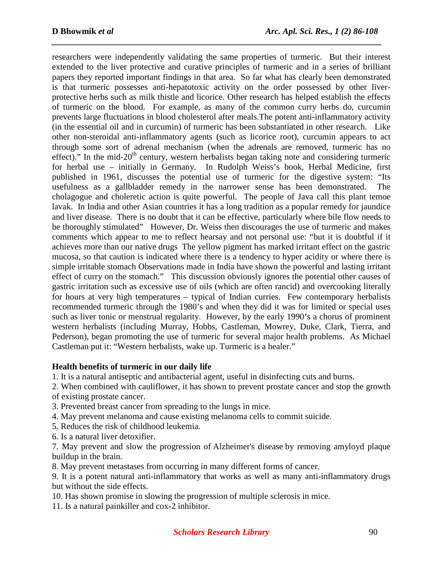researchers were independently validating the same properties of turmeric. But their interest extended to the liver protective and curative principles of turmeric and in a series of brilliant papers they reported important findings in that area. So far what has clearly been demonstrated is that turmeric possesses anti-hepatotoxic activity on the order possessed by other liverprotective herbs such as milk thistle and licorice. Other research has helped establish the effects of turmeric on the blood. For example, as many of the common curry herbs do, curcumin prevents large fluctuations in blood cholesterol after meals.The potent anti-inflammatory activity (in the essential oil and in curcumin) of turmeric has been substantiated in other research. Like other non-steroidal anti-inflammatory agents (such as licorice root), curcumin appears to act through some sort of adrenal mechanism (when the adrenals are removed, turmeric has no effect)." In the mid-20<sup>th</sup> century, western herbalists began taking note and considering turmeric for herbal use – initially in Germany. In Rudolph Weiss's book, Herbal Medicine, first published in 1961, discusses the potential use of turmeric for the digestive system: "Its usefulness as a gallbladder remedy in the narrower sense has been demonstrated. The cholagogue and choleretic action is quite powerful. The people of Java call this plant temoe lavak. In India and other Asian countries it has a long tradition as a popular remedy for jaundice and liver disease. There is no doubt that it can be effective, particularly where bile flow needs to be thoroughly stimulated" However, Dr. Weiss then discourages the use of turmeric and makes comments which appear to me to reflect hearsay and not personal use: "but it is doubtful if it achieves more than our native drugs The yellow pigment has marked irritant effect on the gastric mucosa, so that caution is indicated where there is a tendency to hyper acidity or where there is simple irritable stomach Observations made in India have shown the powerful and lasting irritant effect of curry on the stomach." This discussion obviously ignores the potential other causes of gastric irritation such as excessive use of oils (which are often rancid) and overcooking literally for hours at very high temperatures – typical of Indian curries. Few contemporary herbalists recommended turmeric through the 1980's and when they did it was for limited or special uses such as liver tonic or menstrual regularity. However, by the early 1990's a chorus of prominent western herbalists (including Murray, Hobbs, Castleman, Mowrey, Duke, Clark, Tierra, and Pederson), began promoting the use of turmeric for several major health problems. As Michael Castleman put it: "Western herbalists, wake up. Turmeric is a healer."

*\_\_\_\_\_\_\_\_\_\_\_\_\_\_\_\_\_\_\_\_\_\_\_\_\_\_\_\_\_\_\_\_\_\_\_\_\_\_\_\_\_\_\_\_\_\_\_\_\_\_\_\_\_\_\_\_\_\_\_\_\_\_\_\_\_\_\_\_\_\_\_\_\_\_\_\_*

### **Health benefits of turmeric in our daily life**

1. It is a natural antiseptic and antibacterial agent, useful in disinfecting cuts and burns.

2. When combined with cauliflower, it has shown to prevent prostate cancer and stop the growth of existing prostate cancer.

3. Prevented breast cancer from spreading to the lungs in mice.

4. May prevent melanoma and cause existing melanoma cells to commit suicide.

5. Reduces the risk of childhood leukemia.

6. Is a natural liver detoxifier.

7. May prevent and slow the progression of Alzheimer's disease by removing amyloyd plaque buildup in the brain.

8. May prevent metastases from occurring in many different forms of cancer.

9. It is a potent natural anti-inflammatory that works as well as many anti-inflammatory drugs but without the side effects.

10. Has shown promise in slowing the progression of multiple sclerosis in mice.

11. Is a natural painkiller and cox-2 inhibitor.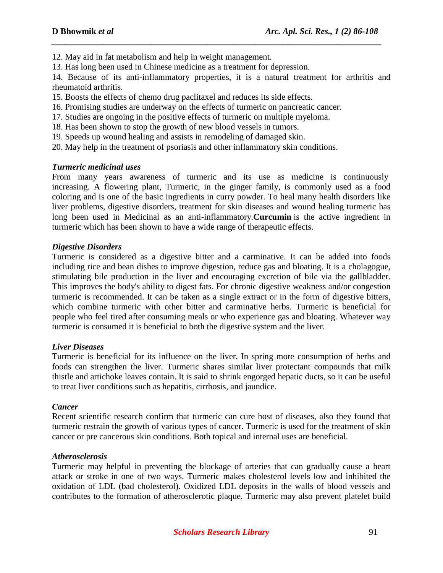12. May aid in fat metabolism and help in weight management.

13. Has long been used in Chinese medicine as a treatment for depression.

14. Because of its anti-inflammatory properties, it is a natural treatment for arthritis and rheumatoid arthritis.

*\_\_\_\_\_\_\_\_\_\_\_\_\_\_\_\_\_\_\_\_\_\_\_\_\_\_\_\_\_\_\_\_\_\_\_\_\_\_\_\_\_\_\_\_\_\_\_\_\_\_\_\_\_\_\_\_\_\_\_\_\_\_\_\_\_\_\_\_\_\_\_\_\_\_\_\_*

15. Boosts the effects of chemo drug paclitaxel and reduces its side effects.

- 16. Promising studies are underway on the effects of turmeric on pancreatic cancer.
- 17. Studies are ongoing in the positive effects of turmeric on multiple myeloma.
- 18. Has been shown to stop the growth of new blood vessels in tumors.
- 19. Speeds up wound healing and assists in remodeling of damaged skin.
- 20. May help in the treatment of psoriasis and other inflammatory skin conditions.

#### *Turmeric medicinal uses*

From many years awareness of turmeric and its use as medicine is continuously increasing. A flowering plant, Turmeric, in the ginger family, is commonly used as a food coloring and is one of the basic ingredients in curry powder. To heal many health disorders like liver problems, digestive disorders, treatment for skin diseases and wound healing turmeric has long been used in Medicinal as an anti-inflammatory.**Curcumin** is the active ingredient in turmeric which has been shown to have a wide range of therapeutic effects.

#### *Digestive Disorders*

Turmeric is considered as a digestive bitter and a carminative. It can be added into foods including rice and bean dishes to improve digestion, reduce gas and bloating. It is a cholagogue, stimulating bile production in the liver and encouraging excretion of bile via the gallbladder. This improves the body's ability to digest fats. For chronic digestive weakness and/or congestion turmeric is recommended. It can be taken as a single extract or in the form of digestive bitters, which combine turmeric with other bitter and carminative herbs. Turmeric is beneficial for people who feel tired after consuming meals or who experience gas and bloating. Whatever way turmeric is consumed it is beneficial to both the digestive system and the liver.

### *Liver Diseases*

Turmeric is beneficial for its influence on the liver. In spring more consumption of herbs and foods can strengthen the liver. Turmeric shares similar liver protectant compounds that milk thistle and artichoke leaves contain. It is said to shrink engorged hepatic ducts, so it can be useful to treat liver conditions such as hepatitis, cirrhosis, and jaundice.

#### *Cancer*

Recent scientific research confirm that turmeric can cure host of diseases, also they found that turmeric restrain the growth of various types of cancer. Turmeric is used for the treatment of skin cancer or pre cancerous skin conditions. Both topical and internal uses are beneficial.

#### *Atherosclerosis*

Turmeric may helpful in preventing the blockage of arteries that can gradually cause a heart attack or stroke in one of two ways. Turmeric makes cholesterol levels low and inhibited the oxidation of LDL (bad cholesterol). Oxidized LDL deposits in the walls of blood vessels and contributes to the formation of atherosclerotic plaque. Turmeric may also prevent platelet build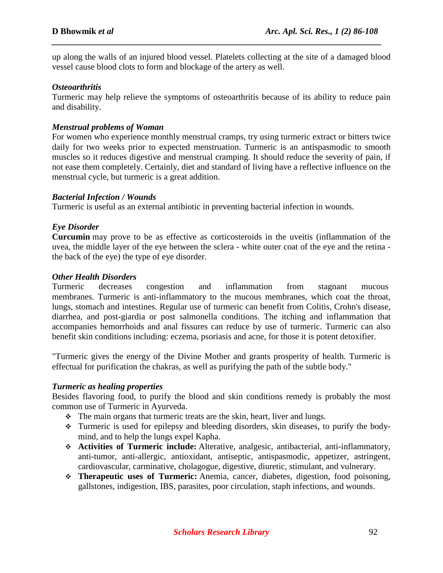up along the walls of an injured blood vessel. Platelets collecting at the site of a damaged blood vessel cause blood clots to form and blockage of the artery as well.

*\_\_\_\_\_\_\_\_\_\_\_\_\_\_\_\_\_\_\_\_\_\_\_\_\_\_\_\_\_\_\_\_\_\_\_\_\_\_\_\_\_\_\_\_\_\_\_\_\_\_\_\_\_\_\_\_\_\_\_\_\_\_\_\_\_\_\_\_\_\_\_\_\_\_\_\_*

#### *Osteoarthritis*

Turmeric may help relieve the symptoms of osteoarthritis because of its ability to reduce pain and disability.

#### *Menstrual problems of Woman*

For women who experience monthly menstrual cramps, try using turmeric extract or bitters twice daily for two weeks prior to expected menstruation. Turmeric is an antispasmodic to smooth muscles so it reduces digestive and menstrual cramping. It should reduce the severity of pain, if not ease them completely. Certainly, diet and standard of living have a reflective influence on the menstrual cycle, but turmeric is a great addition.

#### *Bacterial Infection / Wounds*

Turmeric is useful as an external antibiotic in preventing bacterial infection in wounds.

### *Eye Disorder*

**Curcumin** may prove to be as effective as corticosteroids in the uveitis (inflammation of the uvea, the middle layer of the eye between the sclera - white outer coat of the eye and the retina the back of the eye) the type of eye disorder.

#### *Other Health Disorders*

Turmeric decreases congestion and inflammation from stagnant mucous membranes. Turmeric is anti-inflammatory to the mucous membranes, which coat the throat, lungs, stomach and intestines. Regular use of turmeric can benefit from Colitis, Crohn's disease, diarrhea, and post-giardia or post salmonella conditions. The itching and inflammation that accompanies hemorrhoids and anal fissures can reduce by use of turmeric. Turmeric can also benefit skin conditions including: eczema, psoriasis and acne, for those it is potent detoxifier.

"Turmeric gives the energy of the Divine Mother and grants prosperity of health. Turmeric is effectual for purification the chakras, as well as purifying the path of the subtle body."

#### *Turmeric as healing properties*

Besides flavoring food, to purify the blood and skin conditions remedy is probably the most common use of Turmeric in Ayurveda.

- $\div$  The main organs that turmeric treats are the skin, heart, liver and lungs.
- Turmeric is used for epilepsy and bleeding disorders, skin diseases, to purify the bodymind, and to help the lungs expel Kapha.
- **Activities of Turmeric include:** Alterative, analgesic, antibacterial, anti-inflammatory, anti-tumor, anti-allergic, antioxidant, antiseptic, antispasmodic, appetizer, astringent, cardiovascular, carminative, cholagogue, digestive, diuretic, stimulant, and vulnerary.
- **Therapeutic uses of Turmeric:** Anemia, cancer, diabetes, digestion, food poisoning, gallstones, indigestion, IBS, parasites, poor circulation, staph infections, and wounds.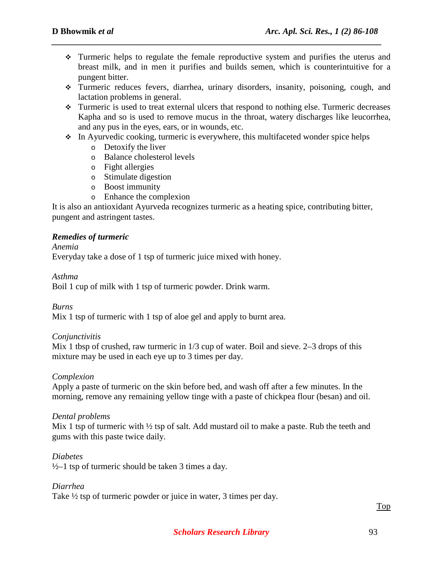Turmeric helps to regulate the female reproductive system and purifies the uterus and breast milk, and in men it purifies and builds semen, which is counterintuitive for a pungent bitter.

*\_\_\_\_\_\_\_\_\_\_\_\_\_\_\_\_\_\_\_\_\_\_\_\_\_\_\_\_\_\_\_\_\_\_\_\_\_\_\_\_\_\_\_\_\_\_\_\_\_\_\_\_\_\_\_\_\_\_\_\_\_\_\_\_\_\_\_\_\_\_\_\_\_\_\_\_*

- Turmeric reduces fevers, diarrhea, urinary disorders, insanity, poisoning, cough, and lactation problems in general.
- Turmeric is used to treat external ulcers that respond to nothing else. Turmeric decreases Kapha and so is used to remove mucus in the throat, watery discharges like leucorrhea, and any pus in the eyes, ears, or in wounds, etc.
- In Ayurvedic cooking, turmeric is everywhere, this multifaceted wonder spice helps
	- o Detoxify the liver
	- o Balance cholesterol levels
	- o Fight allergies
	- o Stimulate digestion
	- o Boost immunity
	- o Enhance the complexion

It is also an antioxidant Ayurveda recognizes turmeric as a heating spice, contributing bitter, pungent and astringent tastes.

#### *Remedies of turmeric*

#### *Anemia*

Everyday take a dose of 1 tsp of turmeric juice mixed with honey.

#### *Asthma*

Boil 1 cup of milk with 1 tsp of turmeric powder. Drink warm.

*Burns*

Mix 1 tsp of turmeric with 1 tsp of aloe gel and apply to burnt area.

#### *Conjunctivitis*

Mix 1 tbsp of crushed, raw turmeric in  $1/3$  cup of water. Boil and sieve. 2–3 drops of this mixture may be used in each eye up to 3 times per day.

### *Complexion*

Apply a paste of turmeric on the skin before bed, and wash off after a few minutes. In the morning, remove any remaining yellow tinge with a paste of chickpea flour (besan) and oil.

#### *Dental problems*

Mix 1 tsp of turmeric with  $\frac{1}{2}$  tsp of salt. Add mustard oil to make a paste. Rub the teeth and gums with this paste twice daily.

#### *Diabetes*

 $\frac{1}{2}$  tsp of turmeric should be taken 3 times a day.

#### *Diarrhea*

Take ½ tsp of turmeric powder or juice in water, 3 times per day.

Top

#### **Scholars Research Library** 93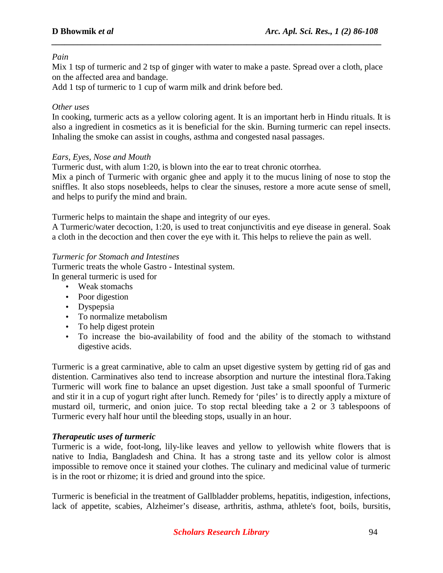### *Pain*

Mix 1 tsp of turmeric and 2 tsp of ginger with water to make a paste. Spread over a cloth, place on the affected area and bandage.

*\_\_\_\_\_\_\_\_\_\_\_\_\_\_\_\_\_\_\_\_\_\_\_\_\_\_\_\_\_\_\_\_\_\_\_\_\_\_\_\_\_\_\_\_\_\_\_\_\_\_\_\_\_\_\_\_\_\_\_\_\_\_\_\_\_\_\_\_\_\_\_\_\_\_\_\_*

Add 1 tsp of turmeric to 1 cup of warm milk and drink before bed.

### *Other uses*

In cooking, turmeric acts as a yellow coloring agent. It is an important herb in Hindu rituals. It is also a ingredient in cosmetics as it is beneficial for the skin. Burning turmeric can repel insects. Inhaling the smoke can assist in coughs, asthma and congested nasal passages.

### *Ears, Eyes, Nose and Mouth*

Turmeric dust, with alum 1:20, is blown into the ear to treat chronic otorrhea.

Mix a pinch of Turmeric with organic ghee and apply it to the mucus lining of nose to stop the sniffles. It also stops nosebleeds, helps to clear the sinuses, restore a more acute sense of smell, and helps to purify the mind and brain.

Turmeric helps to maintain the shape and integrity of our eyes.

A Turmeric/water decoction, 1:20, is used to treat conjunctivitis and eye disease in general. Soak a cloth in the decoction and then cover the eye with it. This helps to relieve the pain as well.

### *Turmeric for Stomach and Intestines*

Turmeric treats the whole Gastro - Intestinal system. In general turmeric is used for

- Weak stomachs
- Poor digestion
- Dyspepsia
- To normalize metabolism
- To help digest protein
- To increase the bio-availability of food and the ability of the stomach to withstand digestive acids.

Turmeric is a great carminative, able to calm an upset digestive system by getting rid of gas and distention. Carminatives also tend to increase absorption and nurture the intestinal flora.Taking Turmeric will work fine to balance an upset digestion. Just take a small spoonful of Turmeric and stir it in a cup of yogurt right after lunch. Remedy for 'piles' is to directly apply a mixture of mustard oil, turmeric, and onion juice. To stop rectal bleeding take a 2 or 3 tablespoons of Turmeric every half hour until the bleeding stops, usually in an hour.

### *Therapeutic uses of turmeric*

Turmeric is a wide, foot-long, lily-like leaves and yellow to yellowish white flowers that is native to India, Bangladesh and China. It has a strong taste and its yellow color is almost impossible to remove once it stained your clothes. The culinary and medicinal value of turmeric is in the root or rhizome; it is dried and ground into the spice.

Turmeric is beneficial in the treatment of Gallbladder problems, hepatitis, indigestion, infections, lack of appetite, scabies, Alzheimer's disease, arthritis, asthma, athlete's foot, boils, bursitis,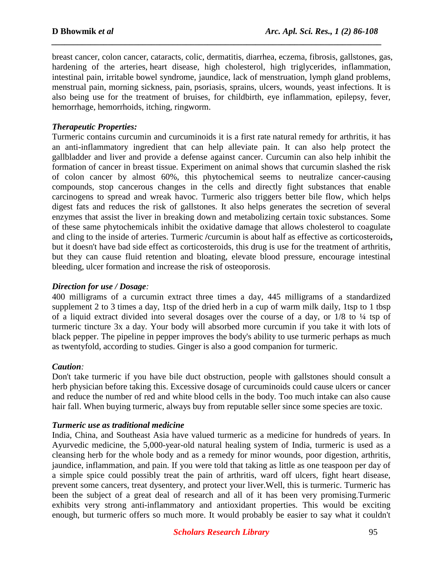breast cancer, colon cancer, cataracts, colic, dermatitis, diarrhea, eczema, fibrosis, gallstones, gas, hardening of the arteries, heart disease, high cholesterol, high triglycerides, inflammation, intestinal pain, irritable bowel syndrome, jaundice, lack of menstruation, lymph gland problems, menstrual pain, morning sickness, pain, psoriasis, sprains, ulcers, wounds, yeast infections. It is also being use for the treatment of bruises, for childbirth, eye inflammation, epilepsy, fever, hemorrhage, hemorrhoids, itching, ringworm.

*\_\_\_\_\_\_\_\_\_\_\_\_\_\_\_\_\_\_\_\_\_\_\_\_\_\_\_\_\_\_\_\_\_\_\_\_\_\_\_\_\_\_\_\_\_\_\_\_\_\_\_\_\_\_\_\_\_\_\_\_\_\_\_\_\_\_\_\_\_\_\_\_\_\_\_\_*

### *Therapeutic Properties:*

Turmeric contains curcumin and curcuminoids it is a first rate natural remedy for arthritis, it has an anti-inflammatory ingredient that can help alleviate pain. It can also help protect the gallbladder and liver and provide a defense against cancer. Curcumin can also help inhibit the formation of cancer in breast tissue. Experiment on animal shows that curcumin slashed the risk of colon cancer by almost 60%, this phytochemical seems to neutralize cancer-causing compounds, stop cancerous changes in the cells and directly fight substances that enable carcinogens to spread and wreak havoc. Turmeric also triggers better bile flow, which helps digest fats and reduces the risk of gallstones. It also helps generates the secretion of several enzymes that assist the liver in breaking down and metabolizing certain toxic substances. Some of these same phytochemicals inhibit the oxidative damage that allows cholesterol to coagulate and cling to the inside of arteries. Turmeric **/**curcumin is about half as effective as corticosteroids**,**  but it doesn't have bad side effect as corticosteroids, this drug is use for the treatment of arthritis, but they can cause fluid retention and bloating, elevate blood pressure, encourage intestinal bleeding, ulcer formation and increase the risk of osteoporosis.

### *Direction for use / Dosage:*

400 milligrams of a curcumin extract three times a day, 445 milligrams of a standardized supplement 2 to 3 times a day, 1tsp of the dried herb in a cup of warm milk daily, 1tsp to 1 tbsp of a liquid extract divided into several dosages over the course of a day, or 1/8 to ¼ tsp of turmeric tincture 3x a day. Your body will absorbed more curcumin if you take it with lots of black pepper. The pipeline in pepper improves the body's ability to use turmeric perhaps as much as twentyfold, according to studies. Ginger is also a good companion for turmeric.

### *Caution:*

Don't take turmeric if you have bile duct obstruction, people with gallstones should consult a herb physician before taking this. Excessive dosage of curcuminoids could cause ulcers or cancer and reduce the number of red and white blood cells in the body. Too much intake can also cause hair fall. When buying turmeric, always buy from reputable seller since some species are toxic.

### *Turmeric use as traditional medicine*

India, China, and Southeast Asia have valued turmeric as a medicine for hundreds of years. In Ayurvedic medicine, the 5,000-year-old natural healing system of India, turmeric is used as a cleansing herb for the whole body and as a remedy for minor wounds, poor digestion, arthritis, jaundice, inflammation, and pain. If you were told that taking as little as one teaspoon per day of a simple spice could possibly treat the pain of arthritis, ward off ulcers, fight heart disease, prevent some cancers, treat dysentery, and protect your liver.Well, this is turmeric. Turmeric has been the subject of a great deal of research and all of it has been very promising.Turmeric exhibits very strong anti-inflammatory and antioxidant properties. This would be exciting enough, but turmeric offers so much more. It would probably be easier to say what it couldn't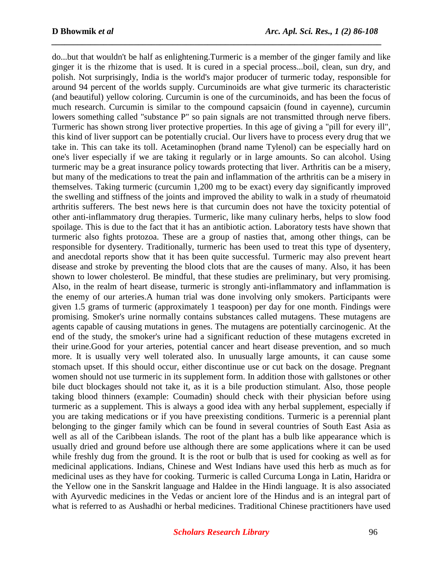do...but that wouldn't be half as enlightening.Turmeric is a member of the ginger family and like ginger it is the rhizome that is used. It is cured in a special process...boil, clean, sun dry, and polish. Not surprisingly, India is the world's major producer of turmeric today, responsible for around 94 percent of the worlds supply. Curcuminoids are what give turmeric its characteristic (and beautiful) yellow coloring. Curcumin is one of the curcuminoids, and has been the focus of much research. Curcumin is similar to the compound capsaicin (found in cayenne), curcumin lowers something called "substance P" so pain signals are not transmitted through nerve fibers. Turmeric has shown strong liver protective properties. In this age of giving a "pill for every ill", this kind of liver support can be potentially crucial. Our livers have to process every drug that we take in. This can take its toll. Acetaminophen (brand name Tylenol) can be especially hard on one's liver especially if we are taking it regularly or in large amounts. So can alcohol. Using turmeric may be a great insurance policy towards protecting that liver. Arthritis can be a misery, but many of the medications to treat the pain and inflammation of the arthritis can be a misery in themselves. Taking turmeric (curcumin 1,200 mg to be exact) every day significantly improved the swelling and stiffness of the joints and improved the ability to walk in a study of rheumatoid arthritis sufferers. The best news here is that curcumin does not have the toxicity potential of other anti-inflammatory drug therapies. Turmeric, like many culinary herbs, helps to slow food spoilage. This is due to the fact that it has an antibiotic action. Laboratory tests have shown that turmeric also fights protozoa. These are a group of nasties that, among other things, can be responsible for dysentery. Traditionally, turmeric has been used to treat this type of dysentery, and anecdotal reports show that it has been quite successful. Turmeric may also prevent heart disease and stroke by preventing the blood clots that are the causes of many. Also, it has been shown to lower cholesterol. Be mindful, that these studies are preliminary, but very promising. Also, in the realm of heart disease, turmeric is strongly anti-inflammatory and inflammation is the enemy of our arteries.A human trial was done involving only smokers. Participants were given 1.5 grams of turmeric (approximately 1 teaspoon) per day for one month. Findings were promising. Smoker's urine normally contains substances called mutagens. These mutagens are agents capable of causing mutations in genes. The mutagens are potentially carcinogenic. At the end of the study, the smoker's urine had a significant reduction of these mutagens excreted in their urine.Good for your arteries, potential cancer and heart disease prevention, and so much more. It is usually very well tolerated also. In unusually large amounts, it can cause some stomach upset. If this should occur, either discontinue use or cut back on the dosage. Pregnant women should not use turmeric in its supplement form. In addition those with gallstones or other bile duct blockages should not take it, as it is a bile production stimulant. Also, those people taking blood thinners (example: Coumadin) should check with their physician before using turmeric as a supplement. This is always a good idea with any herbal supplement, especially if you are taking medications or if you have preexisting conditions. Turmeric is a perennial plant belonging to the ginger family which can be found in several countries of South East Asia as well as all of the Caribbean islands. The root of the plant has a bulb like appearance which is usually dried and ground before use although there are some applications where it can be used while freshly dug from the ground. It is the root or bulb that is used for cooking as well as for medicinal applications. Indians, Chinese and West Indians have used this herb as much as for medicinal uses as they have for cooking. Turmeric is called Curcuma Longa in Latin, Haridra or the Yellow one in the Sanskrit language and Haldee in the Hindi language. It is also associated with Ayurvedic medicines in the Vedas or ancient lore of the Hindus and is an integral part of what is referred to as Aushadhi or herbal medicines. Traditional Chinese practitioners have used

*\_\_\_\_\_\_\_\_\_\_\_\_\_\_\_\_\_\_\_\_\_\_\_\_\_\_\_\_\_\_\_\_\_\_\_\_\_\_\_\_\_\_\_\_\_\_\_\_\_\_\_\_\_\_\_\_\_\_\_\_\_\_\_\_\_\_\_\_\_\_\_\_\_\_\_\_*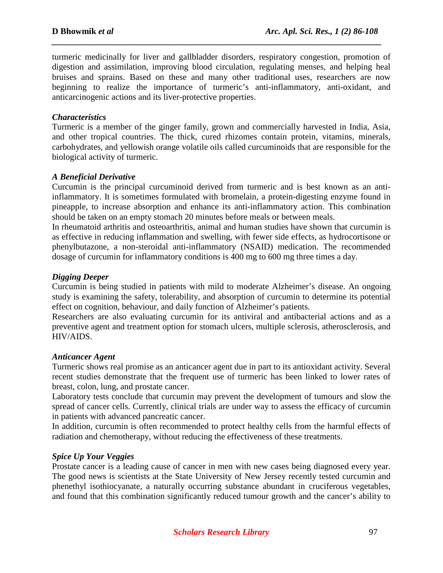turmeric medicinally for liver and gallbladder disorders, respiratory congestion, promotion of digestion and assimilation, improving blood circulation, regulating menses, and helping heal bruises and sprains. Based on these and many other traditional uses, researchers are now beginning to realize the importance of turmeric's anti-inflammatory, anti-oxidant, and anticarcinogenic actions and its liver-protective properties.

*\_\_\_\_\_\_\_\_\_\_\_\_\_\_\_\_\_\_\_\_\_\_\_\_\_\_\_\_\_\_\_\_\_\_\_\_\_\_\_\_\_\_\_\_\_\_\_\_\_\_\_\_\_\_\_\_\_\_\_\_\_\_\_\_\_\_\_\_\_\_\_\_\_\_\_\_*

#### *Characteristics*

Turmeric is a member of the ginger family, grown and commercially harvested in India, Asia, and other tropical countries. The thick, cured rhizomes contain protein, vitamins, minerals, carbohydrates, and yellowish orange volatile oils called curcuminoids that are responsible for the biological activity of turmeric.

#### *A Beneficial Derivative*

Curcumin is the principal curcuminoid derived from turmeric and is best known as an antiinflammatory. It is sometimes formulated with bromelain, a protein-digesting enzyme found in pineapple, to increase absorption and enhance its anti-inflammatory action. This combination should be taken on an empty stomach 20 minutes before meals or between meals.

In rheumatoid arthritis and osteoarthritis, animal and human studies have shown that curcumin is as effective in reducing inflammation and swelling, with fewer side effects, as hydrocortisone or phenylbutazone, a non-steroidal anti-inflammatory (NSAID) medication. The recommended dosage of curcumin for inflammatory conditions is 400 mg to 600 mg three times a day.

#### *Digging Deeper*

Curcumin is being studied in patients with mild to moderate Alzheimer's disease. An ongoing study is examining the safety, tolerability, and absorption of curcumin to determine its potential effect on cognition, behaviour, and daily function of Alzheimer's patients.

Researchers are also evaluating curcumin for its antiviral and antibacterial actions and as a preventive agent and treatment option for stomach ulcers, multiple sclerosis, atherosclerosis, and HIV/AIDS.

#### *Anticancer Agent*

Turmeric shows real promise as an anticancer agent due in part to its antioxidant activity. Several recent studies demonstrate that the frequent use of turmeric has been linked to lower rates of breast, colon, lung, and prostate cancer.

Laboratory tests conclude that curcumin may prevent the development of tumours and slow the spread of cancer cells. Currently, clinical trials are under way to assess the efficacy of curcumin in patients with advanced pancreatic cancer.

In addition, curcumin is often recommended to protect healthy cells from the harmful effects of radiation and chemotherapy, without reducing the effectiveness of these treatments.

### *Spice Up Your Veggies*

Prostate cancer is a leading cause of cancer in men with new cases being diagnosed every year. The good news is scientists at the State University of New Jersey recently tested curcumin and phenethyl isothiocyanate, a naturally occurring substance abundant in cruciferous vegetables, and found that this combination significantly reduced tumour growth and the cancer's ability to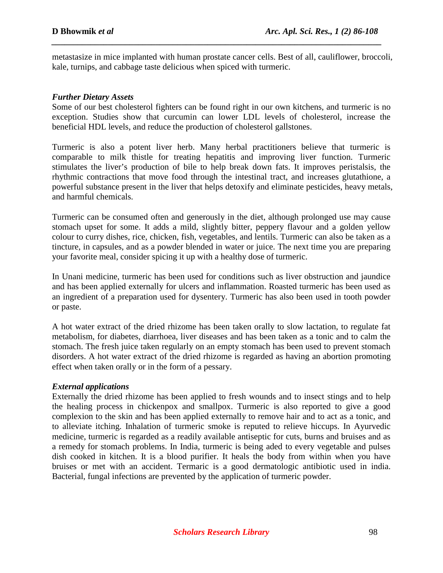metastasize in mice implanted with human prostate cancer cells. Best of all, cauliflower, broccoli, kale, turnips, and cabbage taste delicious when spiced with turmeric.

*\_\_\_\_\_\_\_\_\_\_\_\_\_\_\_\_\_\_\_\_\_\_\_\_\_\_\_\_\_\_\_\_\_\_\_\_\_\_\_\_\_\_\_\_\_\_\_\_\_\_\_\_\_\_\_\_\_\_\_\_\_\_\_\_\_\_\_\_\_\_\_\_\_\_\_\_*

#### *Further Dietary Assets*

Some of our best cholesterol fighters can be found right in our own kitchens, and turmeric is no exception. Studies show that curcumin can lower LDL levels of cholesterol, increase the beneficial HDL levels, and reduce the production of cholesterol gallstones.

Turmeric is also a potent liver herb. Many herbal practitioners believe that turmeric is comparable to milk thistle for treating hepatitis and improving liver function. Turmeric stimulates the liver's production of bile to help break down fats. It improves peristalsis, the rhythmic contractions that move food through the intestinal tract, and increases glutathione, a powerful substance present in the liver that helps detoxify and eliminate pesticides, heavy metals, and harmful chemicals.

Turmeric can be consumed often and generously in the diet, although prolonged use may cause stomach upset for some. It adds a mild, slightly bitter, peppery flavour and a golden yellow colour to curry dishes, rice, chicken, fish, vegetables, and lentils. Turmeric can also be taken as a tincture, in capsules, and as a powder blended in water or juice. The next time you are preparing your favorite meal, consider spicing it up with a healthy dose of turmeric.

In Unani medicine, turmeric has been used for conditions such as liver obstruction and jaundice and has been applied externally for ulcers and inflammation. Roasted turmeric has been used as an ingredient of a preparation used for dysentery. Turmeric has also been used in tooth powder or paste.

A hot water extract of the dried rhizome has been taken orally to slow lactation, to regulate fat metabolism, for diabetes, diarrhoea, liver diseases and has been taken as a tonic and to calm the stomach. The fresh juice taken regularly on an empty stomach has been used to prevent stomach disorders. A hot water extract of the dried rhizome is regarded as having an abortion promoting effect when taken orally or in the form of a pessary.

### *External applications*

Externally the dried rhizome has been applied to fresh wounds and to insect stings and to help the healing process in chickenpox and smallpox. Turmeric is also reported to give a good complexion to the skin and has been applied externally to remove hair and to act as a tonic, and to alleviate itching. Inhalation of turmeric smoke is reputed to relieve hiccups. In Ayurvedic medicine, turmeric is regarded as a readily available antiseptic for cuts, burns and bruises and as a remedy for stomach problems. In India, turmeric is being aded to every vegetable and pulses dish cooked in kitchen. It is a blood purifier. It heals the body from within when you have bruises or met with an accident. Termaric is a good dermatologic antibiotic used in india. Bacterial, fungal infections are prevented by the application of turmeric powder.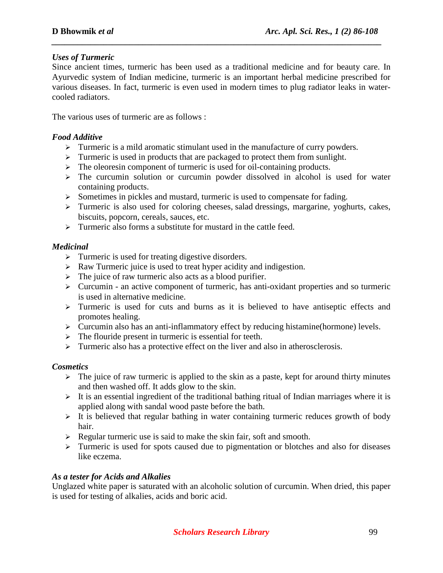### *Uses of Turmeric*

Since ancient times, turmeric has been used as a traditional medicine and for beauty care. In Ayurvedic system of Indian medicine, turmeric is an important herbal medicine prescribed for various diseases. In fact, turmeric is even used in modern times to plug radiator leaks in watercooled radiators.

*\_\_\_\_\_\_\_\_\_\_\_\_\_\_\_\_\_\_\_\_\_\_\_\_\_\_\_\_\_\_\_\_\_\_\_\_\_\_\_\_\_\_\_\_\_\_\_\_\_\_\_\_\_\_\_\_\_\_\_\_\_\_\_\_\_\_\_\_\_\_\_\_\_\_\_\_*

The various uses of turmeric are as follows :

### *Food Additive*

- > Turmeric is a mild aromatic stimulant used in the manufacture of curry powders.
- > Turmeric is used in products that are packaged to protect them from sunlight.
- > The oleoresin component of turmeric is used for oil-containing products.
- > The curcumin solution or curcumin powder dissolved in alcohol is used for water containing products.
- > Sometimes in pickles and mustard, turmeric is used to compensate for fading.
- > Turmeric is also used for coloring cheeses, salad dressings, margarine, yoghurts, cakes, biscuits, popcorn, cereals, sauces, etc.
- > Turmeric also forms a substitute for mustard in the cattle feed.

### *Medicinal*

- > Turmeric is used for treating digestive disorders.
- Raw Turmeric juice is used to treat hyper acidity and indigestion.
- > The juice of raw turmeric also acts as a blood purifier.
- > Curcumin an active component of turmeric, has anti-oxidant properties and so turmeric is used in alternative medicine.
- > Turmeric is used for cuts and burns as it is believed to have antiseptic effects and promotes healing.
- > Curcumin also has an anti-inflammatory effect by reducing histamine(hormone) levels.
- > The flouride present in turmeric is essential for teeth.
- > Turmeric also has a protective effect on the liver and also in atherosclerosis.

### *Cosmetics*

- > The juice of raw turmeric is applied to the skin as a paste, kept for around thirty minutes and then washed off. It adds glow to the skin.
- > It is an essential ingredient of the traditional bathing ritual of Indian marriages where it is applied along with sandal wood paste before the bath.
- > It is believed that regular bathing in water containing turmeric reduces growth of body hair.
- Regular turmeric use is said to make the skin fair, soft and smooth.
- > Turmeric is used for spots caused due to pigmentation or blotches and also for diseases like eczema.

### *As a tester for Acids and Alkalies*

Unglazed white paper is saturated with an alcoholic solution of curcumin. When dried, this paper is used for testing of alkalies, acids and boric acid.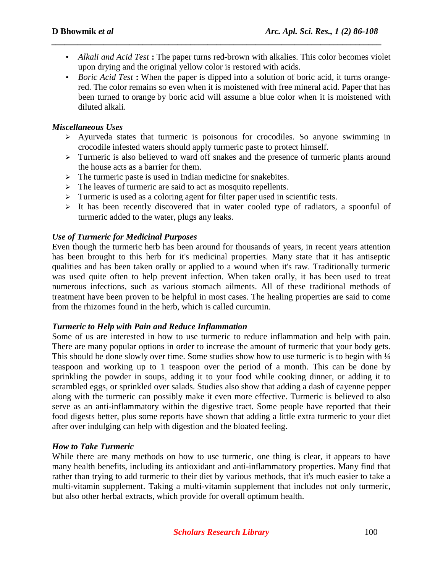• *Alkali and Acid Test* **:** The paper turns red-brown with alkalies. This color becomes violet upon drying and the original yellow color is restored with acids.

*\_\_\_\_\_\_\_\_\_\_\_\_\_\_\_\_\_\_\_\_\_\_\_\_\_\_\_\_\_\_\_\_\_\_\_\_\_\_\_\_\_\_\_\_\_\_\_\_\_\_\_\_\_\_\_\_\_\_\_\_\_\_\_\_\_\_\_\_\_\_\_\_\_\_\_\_*

• *Boric Acid Test* : When the paper is dipped into a solution of boric acid, it turns orangered. The color remains so even when it is moistened with free mineral acid. Paper that has been turned to orange by boric acid will assume a blue color when it is moistened with diluted alkali.

### *Miscellaneous Uses*

- Ayurveda states that turmeric is poisonous for crocodiles. So anyone swimming in crocodile infested waters should apply turmeric paste to protect himself.
- > Turmeric is also believed to ward off snakes and the presence of turmeric plants around the house acts as a barrier for them.
- > The turmeric paste is used in Indian medicine for snakebites.
- > The leaves of turmeric are said to act as mosquito repellents.
- > Turmeric is used as a coloring agent for filter paper used in scientific tests.
- > It has been recently discovered that in water cooled type of radiators, a spoonful of turmeric added to the water, plugs any leaks.

### *Use of Turmeric for Medicinal Purposes*

Even though the turmeric herb has been around for thousands of years, in recent years attention has been brought to this herb for it's medicinal properties. Many state that it has antiseptic qualities and has been taken orally or applied to a wound when it's raw. Traditionally turmeric was used quite often to help prevent infection. When taken orally, it has been used to treat numerous infections, such as various stomach ailments. All of these traditional methods of treatment have been proven to be helpful in most cases. The healing properties are said to come from the rhizomes found in the herb, which is called curcumin.

### *Turmeric to Help with Pain and Reduce Inflammation*

Some of us are interested in how to use turmeric to reduce inflammation and help with pain. There are many popular options in order to increase the amount of turmeric that your body gets. This should be done slowly over time. Some studies show how to use turmeric is to begin with  $\frac{1}{4}$ teaspoon and working up to 1 teaspoon over the period of a month. This can be done by sprinkling the powder in soups, adding it to your food while cooking dinner, or adding it to scrambled eggs, or sprinkled over salads. Studies also show that adding a dash of cayenne pepper along with the turmeric can possibly make it even more effective. Turmeric is believed to also serve as an anti-inflammatory within the digestive tract. Some people have reported that their food digests better, plus some reports have shown that adding a little extra turmeric to your diet after over indulging can help with digestion and the bloated feeling.

### *How to Take Turmeric*

While there are many methods on how to use turmeric, one thing is clear, it appears to have many health benefits, including its antioxidant and anti-inflammatory properties. Many find that rather than trying to add turmeric to their diet by various methods, that it's much easier to take a multi-vitamin supplement. Taking a multi-vitamin supplement that includes not only turmeric, but also other herbal extracts, which provide for overall optimum health.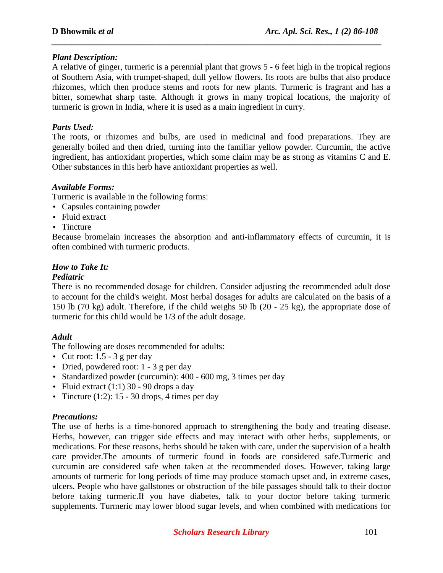### *Plant Description:*

A relative of ginger, turmeric is a perennial plant that grows 5 - 6 feet high in the tropical regions of Southern Asia, with trumpet-shaped, dull yellow flowers. Its roots are bulbs that also produce rhizomes, which then produce stems and roots for new plants. Turmeric is fragrant and has a bitter, somewhat sharp taste. Although it grows in many tropical locations, the majority of turmeric is grown in India, where it is used as a main ingredient in curry.

*\_\_\_\_\_\_\_\_\_\_\_\_\_\_\_\_\_\_\_\_\_\_\_\_\_\_\_\_\_\_\_\_\_\_\_\_\_\_\_\_\_\_\_\_\_\_\_\_\_\_\_\_\_\_\_\_\_\_\_\_\_\_\_\_\_\_\_\_\_\_\_\_\_\_\_\_*

#### *Parts Used:*

The roots, or rhizomes and bulbs, are used in medicinal and food preparations. They are generally boiled and then dried, turning into the familiar yellow powder. Curcumin, the active ingredient, has antioxidant properties, which some claim may be as strong as vitamins C and E. Other substances in this herb have antioxidant properties as well.

#### *Available Forms:*

Turmeric is available in the following forms:

- Capsules containing powder
- Fluid extract
- Tincture

Because bromelain increases the absorption and anti-inflammatory effects of curcumin, it is often combined with turmeric products.

### *How to Take It:*

#### *Pediatric*

There is no recommended dosage for children. Consider adjusting the recommended adult dose to account for the child's weight. Most herbal dosages for adults are calculated on the basis of a 150 lb (70 kg) adult. Therefore, if the child weighs 50 lb (20 - 25 kg), the appropriate dose of turmeric for this child would be 1/3 of the adult dosage.

### *Adult*

The following are doses recommended for adults:

- Cut root:  $1.5 3$  g per day
- Dried, powdered root: 1 3 g per day
- Standardized powder (curcumin): 400 600 mg, 3 times per day
- Fluid extract  $(1:1)$  30 90 drops a day
- Tincture  $(1:2): 15 30$  drops, 4 times per day

#### *Precautions:*

The use of herbs is a time-honored approach to strengthening the body and treating disease. Herbs, however, can trigger side effects and may interact with other herbs, supplements, or medications. For these reasons, herbs should be taken with care, under the supervision of a health care provider.The amounts of turmeric found in foods are considered safe.Turmeric and curcumin are considered safe when taken at the recommended doses. However, taking large amounts of turmeric for long periods of time may produce stomach upset and, in extreme cases, ulcers. People who have gallstones or obstruction of the bile passages should talk to their doctor before taking turmeric.If you have diabetes, talk to your doctor before taking turmeric supplements. Turmeric may lower blood sugar levels, and when combined with medications for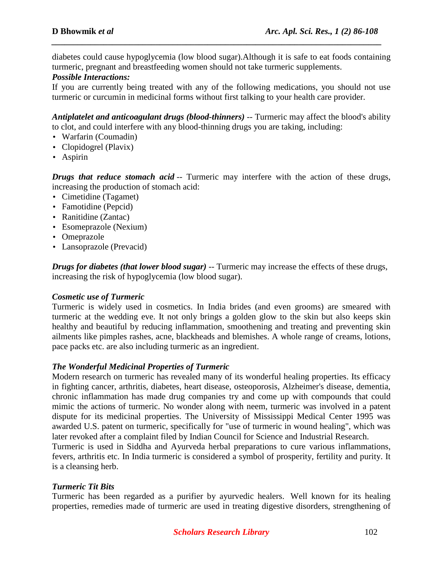diabetes could cause hypoglycemia (low blood sugar).Although it is safe to eat foods containing turmeric, pregnant and breastfeeding women should not take turmeric supplements.

*\_\_\_\_\_\_\_\_\_\_\_\_\_\_\_\_\_\_\_\_\_\_\_\_\_\_\_\_\_\_\_\_\_\_\_\_\_\_\_\_\_\_\_\_\_\_\_\_\_\_\_\_\_\_\_\_\_\_\_\_\_\_\_\_\_\_\_\_\_\_\_\_\_\_\_\_*

### *Possible Interactions:*

If you are currently being treated with any of the following medications, you should not use turmeric or curcumin in medicinal forms without first talking to your health care provider.

*Antiplatelet and anticoagulant drugs (blood-thinners)* -- Turmeric may affect the blood's ability to clot, and could interfere with any blood-thinning drugs you are taking, including:

- Warfarin (Coumadin)
- Clopidogrel (Plavix)
- Aspirin

*Drugs that reduce stomach acid* -- Turmeric may interfere with the action of these drugs, increasing the production of stomach acid:

- Cimetidine (Tagamet)
- Famotidine (Pepcid)
- Ranitidine (Zantac)
- Esomeprazole (Nexium)
- Omeprazole
- Lansoprazole (Prevacid)

*Drugs for diabetes (that lower blood sugar)* -- Turmeric may increase the effects of these drugs, increasing the risk of hypoglycemia (low blood sugar).

### *Cosmetic use of Turmeric*

Turmeric is widely used in cosmetics. In India brides (and even grooms) are smeared with turmeric at the wedding eve. It not only brings a golden glow to the skin but also keeps skin healthy and beautiful by reducing inflammation, smoothening and treating and preventing skin ailments like pimples rashes, acne, blackheads and blemishes. A whole range of creams, lotions, pace packs etc. are also including turmeric as an ingredient.

### *The Wonderful Medicinal Properties of Turmeric*

Modern research on turmeric has revealed many of its wonderful healing properties. Its efficacy in fighting cancer, arthritis, diabetes, heart disease, osteoporosis, Alzheimer's disease, dementia, chronic inflammation has made drug companies try and come up with compounds that could mimic the actions of turmeric. No wonder along with neem, turmeric was involved in a patent dispute for its medicinal properties. The University of Mississippi Medical Center 1995 was awarded U.S. patent on turmeric, specifically for "use of turmeric in wound healing", which was later revoked after a complaint filed by Indian Council for Science and Industrial Research.

Turmeric is used in Siddha and Ayurveda herbal preparations to cure various inflammations, fevers, arthritis etc. In India turmeric is considered a symbol of prosperity, fertility and purity. It is a cleansing herb.

### *Turmeric Tit Bits*

Turmeric has been regarded as a purifier by ayurvedic healers. Well known for its healing properties, remedies made of turmeric are used in treating digestive disorders, strengthening of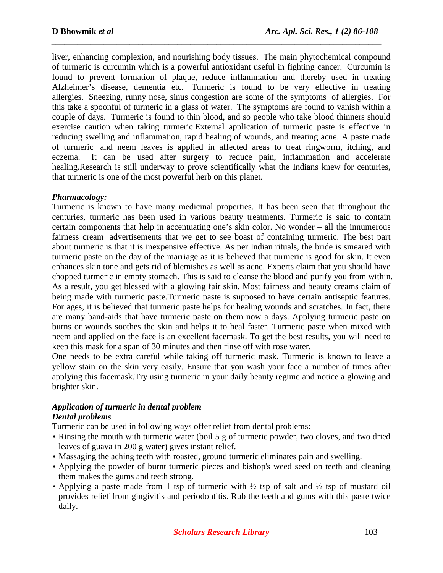liver, enhancing complexion, and nourishing body tissues. The main phytochemical compound of turmeric is curcumin which is a powerful antioxidant useful in fighting cancer. Curcumin is found to prevent formation of plaque, reduce inflammation and thereby used in treating Alzheimer's disease, dementia etc. Turmeric is found to be very effective in treating allergies. Sneezing, runny nose, sinus congestion are some of the symptoms of allergies. For this take a spoonful of turmeric in a glass of water. The symptoms are found to vanish within a couple of days. Turmeric is found to thin blood, and so people who take blood thinners should exercise caution when taking turmeric.External application of turmeric paste is effective in reducing swelling and inflammation, rapid healing of wounds, and treating acne. A paste made of turmeric and neem leaves is applied in affected areas to treat ringworm, itching, and eczema. It can be used after surgery to reduce pain, inflammation and accelerate healing.Research is still underway to prove scientifically what the Indians knew for centuries, that turmeric is one of the most powerful herb on this planet.

*\_\_\_\_\_\_\_\_\_\_\_\_\_\_\_\_\_\_\_\_\_\_\_\_\_\_\_\_\_\_\_\_\_\_\_\_\_\_\_\_\_\_\_\_\_\_\_\_\_\_\_\_\_\_\_\_\_\_\_\_\_\_\_\_\_\_\_\_\_\_\_\_\_\_\_\_*

### *Pharmacology:*

Turmeric is known to have many medicinal properties. It has been seen that throughout the centuries, turmeric has been used in various beauty treatments. Turmeric is said to contain certain components that help in accentuating one's skin color. No wonder – all the innumerous fairness cream advertisements that we get to see boast of containing turmeric. The best part about turmeric is that it is inexpensive effective. As per Indian rituals, the bride is smeared with turmeric paste on the day of the marriage as it is believed that turmeric is good for skin. It even enhances skin tone and gets rid of blemishes as well as acne. Experts claim that you should have chopped turmeric in empty stomach. This is said to cleanse the blood and purify you from within. As a result, you get blessed with a glowing fair skin. Most fairness and beauty creams claim of being made with turmeric paste.Turmeric paste is supposed to have certain antiseptic features. For ages, it is believed that turmeric paste helps for healing wounds and scratches. In fact, there are many band-aids that have turmeric paste on them now a days. Applying turmeric paste on burns or wounds soothes the skin and helps it to heal faster. Turmeric paste when mixed with neem and applied on the face is an excellent facemask. To get the best results, you will need to keep this mask for a span of 30 minutes and then rinse off with rose water.

One needs to be extra careful while taking off turmeric mask. Turmeric is known to leave a yellow stain on the skin very easily. Ensure that you wash your face a number of times after applying this facemask.Try using turmeric in your daily beauty regime and notice a glowing and brighter skin.

#### *Application of turmeric in dental problem Dental problems*

Turmeric can be used in following ways offer relief from dental problems:

- Rinsing the mouth with turmeric water (boil 5 g of turmeric powder, two cloves, and two dried leaves of guava in 200 g water) gives instant relief.
- Massaging the aching teeth with roasted, ground turmeric eliminates pain and swelling.
- Applying the powder of burnt turmeric pieces and bishop's weed seed on teeth and cleaning them makes the gums and teeth strong.
- Applying a paste made from 1 tsp of turmeric with  $\frac{1}{2}$  tsp of salt and  $\frac{1}{2}$  tsp of mustard oil provides relief from gingivitis and periodontitis. Rub the teeth and gums with this paste twice daily.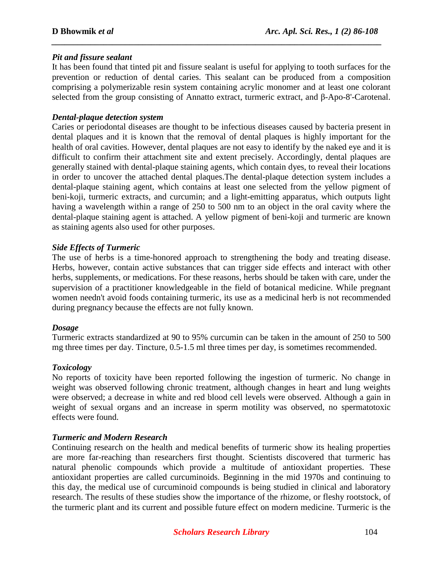### *Pit and fissure sealant*

It has been found that tinted pit and fissure sealant is useful for applying to tooth surfaces for the prevention or reduction of dental caries. This sealant can be produced from a composition comprising a polymerizable resin system containing acrylic monomer and at least one colorant selected from the group consisting of Annatto extract, turmeric extract, and β-Apo-8'-Carotenal.

*\_\_\_\_\_\_\_\_\_\_\_\_\_\_\_\_\_\_\_\_\_\_\_\_\_\_\_\_\_\_\_\_\_\_\_\_\_\_\_\_\_\_\_\_\_\_\_\_\_\_\_\_\_\_\_\_\_\_\_\_\_\_\_\_\_\_\_\_\_\_\_\_\_\_\_\_*

#### *Dental-plaque detection system*

Caries or periodontal diseases are thought to be infectious diseases caused by bacteria present in dental plaques and it is known that the removal of dental plaques is highly important for the health of oral cavities. However, dental plaques are not easy to identify by the naked eye and it is difficult to confirm their attachment site and extent precisely. Accordingly, dental plaques are generally stained with dental-plaque staining agents, which contain dyes, to reveal their locations in order to uncover the attached dental plaques.The dental-plaque detection system includes a dental-plaque staining agent, which contains at least one selected from the yellow pigment of beni-koji, turmeric extracts, and curcumin; and a light-emitting apparatus, which outputs light having a wavelength within a range of 250 to 500 nm to an object in the oral cavity where the dental-plaque staining agent is attached. A yellow pigment of beni-koji and turmeric are known as staining agents also used for other purposes.

#### *Side Effects of Turmeric*

The use of herbs is a time-honored approach to strengthening the body and treating disease. Herbs, however, contain active substances that can trigger side effects and interact with other herbs, supplements, or medications. For these reasons, herbs should be taken with care, under the supervision of a practitioner knowledgeable in the field of botanical medicine. While pregnant women needn't avoid foods containing turmeric, its use as a medicinal herb is not recommended during pregnancy because the effects are not fully known.

#### *Dosage*

Turmeric extracts standardized at 90 to 95% curcumin can be taken in the amount of 250 to 500 mg three times per day. Tincture, 0.5-1.5 ml three times per day, is sometimes recommended.

### *Toxicology*

No reports of toxicity have been reported following the ingestion of turmeric. No change in weight was observed following chronic treatment, although changes in heart and lung weights were observed; a decrease in white and red blood cell levels were observed. Although a gain in weight of sexual organs and an increase in sperm motility was observed, no spermatotoxic effects were found.

### *Turmeric and Modern Research*

Continuing research on the health and medical benefits of turmeric show its healing properties are more far-reaching than researchers first thought. Scientists discovered that turmeric has natural phenolic compounds which provide a multitude of antioxidant properties. These antioxidant properties are called curcuminoids. Beginning in the mid 1970s and continuing to this day, the medical use of curcuminoid compounds is being studied in clinical and laboratory research. The results of these studies show the importance of the rhizome, or fleshy rootstock, of the turmeric plant and its current and possible future effect on modern medicine. Turmeric is the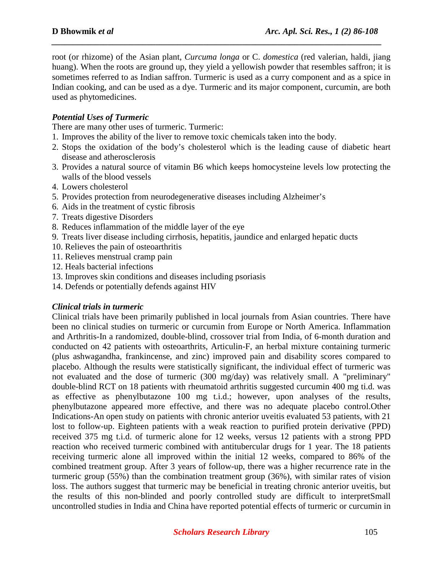root (or rhizome) of the Asian plant, *Curcuma longa* or C. *domestica* (red valerian, haldi, jiang huang). When the roots are ground up, they yield a yellowish powder that resembles saffron; it is sometimes referred to as Indian saffron. Turmeric is used as a curry component and as a spice in Indian cooking, and can be used as a dye. Turmeric and its major component, curcumin, are both used as phytomedicines.

*\_\_\_\_\_\_\_\_\_\_\_\_\_\_\_\_\_\_\_\_\_\_\_\_\_\_\_\_\_\_\_\_\_\_\_\_\_\_\_\_\_\_\_\_\_\_\_\_\_\_\_\_\_\_\_\_\_\_\_\_\_\_\_\_\_\_\_\_\_\_\_\_\_\_\_\_*

### *Potential Uses of Turmeric*

There are many other uses of turmeric. Turmeric:

- 1. Improves the ability of the liver to remove toxic chemicals taken into the body.
- 2. Stops the oxidation of the body's cholesterol which is the leading cause of diabetic heart disease and atherosclerosis
- 3. Provides a natural source of vitamin B6 which keeps homocysteine levels low protecting the walls of the blood vessels
- 4. Lowers cholesterol
- 5. Provides protection from neurodegenerative diseases including Alzheimer's
- 6. Aids in the treatment of cystic fibrosis
- 7. Treats digestive Disorders
- 8. Reduces inflammation of the middle layer of the eye
- 9. Treats liver disease including cirrhosis, hepatitis, jaundice and enlarged hepatic ducts
- 10. Relieves the pain of osteoarthritis
- 11. Relieves menstrual cramp pain
- 12. Heals bacterial infections
- 13. Improves skin conditions and diseases including psoriasis
- 14. Defends or potentially defends against HIV

#### *Clinical trials in turmeric*

Clinical trials have been primarily published in local journals from Asian countries. There have been no clinical studies on turmeric or curcumin from Europe or North America. Inflammation and Arthritis-In a randomized, double-blind, crossover trial from India, of 6-month duration and conducted on 42 patients with osteoarthrits, Articulin-F, an herbal mixture containing turmeric (plus ashwagandha, frankincense, and zinc) improved pain and disability scores compared to placebo. Although the results were statistically significant, the individual effect of turmeric was not evaluated and the dose of turmeric (300 mg/day) was relatively small. A "preliminary" double-blind RCT on 18 patients with rheumatoid arthritis suggested curcumin 400 mg ti.d. was as effective as phenylbutazone 100 mg t.i.d.; however, upon analyses of the results, phenylbutazone appeared more effective, and there was no adequate placebo control.Other Indications-An open study on patients with chronic anterior uveitis evaluated 53 patients, with 21 lost to follow-up. Eighteen patients with a weak reaction to purified protein derivative (PPD) received 375 mg t.i.d. of turmeric alone for 12 weeks, versus 12 patients with a strong PPD reaction who received turmeric combined with antitubercular drugs for 1 year. The 18 patients receiving turmeric alone all improved within the initial 12 weeks, compared to 86% of the combined treatment group. After 3 years of follow-up, there was a higher recurrence rate in the turmeric group (55%) than the combination treatment group (36%), with similar rates of vision loss. The authors suggest that turmeric may be beneficial in treating chronic anterior uveitis, but the results of this non-blinded and poorly controlled study are difficult to interpretSmall uncontrolled studies in India and China have reported potential effects of turmeric or curcumin in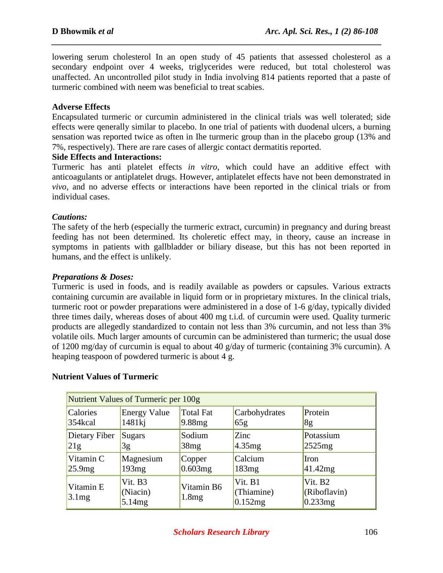lowering serum cholesterol In an open study of 45 patients that assessed cholesterol as a secondary endpoint over 4 weeks, triglycerides were reduced, but total cholesterol was unaffected. An uncontrolled pilot study in India involving 814 patients reported that a paste of turmeric combined with neem was beneficial to treat scabies.

*\_\_\_\_\_\_\_\_\_\_\_\_\_\_\_\_\_\_\_\_\_\_\_\_\_\_\_\_\_\_\_\_\_\_\_\_\_\_\_\_\_\_\_\_\_\_\_\_\_\_\_\_\_\_\_\_\_\_\_\_\_\_\_\_\_\_\_\_\_\_\_\_\_\_\_\_*

### **Adverse Effects**

Encapsulated turmeric or curcumin administered in the clinical trials was well tolerated; side effects were qenerally similar to placebo. In one trial of patients with duodenal ulcers, a burning sensation was reported twice as often in Ihe turmeric group than in the placebo group (13% and 7%, respectively). There are rare cases of allergic contact dermatitis reported.

### **Side Effects and Interactions:**

Turmeric has anti platelet effects *in vitro,* which could have an additive effect with anticoagulants or antiplatelet drugs. However, antiplatelet effects have not been demonstrated in *vivo,* and no adverse effects or interactions have been reported in the clinical trials or from individual cases.

### *Cautions:*

The safety of the herb (especially the turmeric extract, curcumin) in pregnancy and during breast feeding has not been determined. Its choleretic effect may, in theory, cause an increase in symptoms in patients with gallbladder or biliary disease, but this has not been reported in humans, and the effect is unlikely.

### *Preparations & Doses:*

Turmeric is used in foods, and is readily available as powders or capsules. Various extracts containing curcumin are available in liquid form or in proprietary mixtures. In the clinical trials, turmeric root or powder preparations were administered in a dose of 1-6 g/day, typically divided three times daily, whereas doses of about 400 mg t.i.d. of curcumin were used. Quality turmeric products are allegedly standardized to contain not less than 3% curcumin, and not less than 3% volatile oils. Much larger amounts of curcumin can be administered than turmeric; the usual dose of 1200 mg/day of curcumin is equal to about 40 g/day of turmeric (containing 3% curcumin). A heaping teaspoon of powdered turmeric is about 4 g.

| Nutrient Values of Turmeric per 100g |                               |                     |                                  |                                       |
|--------------------------------------|-------------------------------|---------------------|----------------------------------|---------------------------------------|
| Calories                             | <b>Energy Value</b>           | <b>Total Fat</b>    | Carbohydrates                    | Protein                               |
| 354kcal                              | 1481ki                        | 9.88 <sub>mg</sub>  | 65g                              | 8g                                    |
| Dietary Fiber                        | Sugars                        | Sodium              | Zinc                             | Potassium                             |
| 21g                                  | 3g                            | 38mg                | 4.35mg                           | 2525mg                                |
| Vitamin C                            | Magnesium                     | Copper              | Calcium                          | Iron                                  |
| 25.9mg                               | 193mg                         | 0.603mg             | 183mg                            | 41.42mg                               |
| Vitamin E<br>3.1mg                   | Vit. B3<br>(Niacin)<br>5.14mg | Vitamin B6<br>1.8mg | Vit. B1<br>(Thiamine)<br>0.152mg | $V$ it. B2<br>(Riboflavin)<br>0.233mg |

### **Nutrient Values of Turmeric**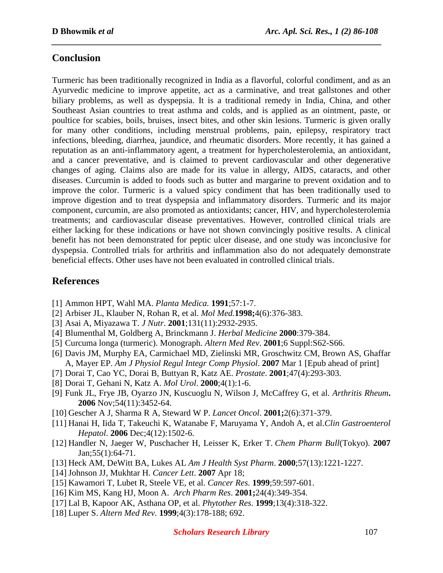# **Conclusion**

Turmeric has been traditionally recognized in India as a flavorful, colorful condiment, and as an Ayurvedic medicine to improve appetite, act as a carminative, and treat gallstones and other biliary problems, as well as dyspepsia. It is a traditional remedy in India, China, and other Southeast Asian countries to treat asthma and colds, and is applied as an ointment, paste, or poultice for scabies, boils, bruises, insect bites, and other skin lesions. Turmeric is given orally for many other conditions, including menstrual problems, pain, epilepsy, respiratory tract infections, bleeding, diarrhea, jaundice, and rheumatic disorders. More recently, it has gained a reputation as an anti-inflammatory agent, a treatment for hypercholesterolemia, an antioxidant, and a cancer preventative, and is claimed to prevent cardiovascular and other degenerative changes of aging. Claims also are made for its value in allergy, AIDS, cataracts, and other diseases. Curcumin is added to foods such as butter and margarine to prevent oxidation and to improve the color. Turmeric is a valued spicy condiment that has been traditionally used to improve digestion and to treat dyspepsia and inflammatory disorders. Turmeric and its major component, curcumin, are also promoted as antioxidants; cancer, HIV, and hypercholesterolemia treatments; and cardiovascular disease preventatives. However, controlled clinical trials are either lacking for these indications or have not shown convincingly positive results. A clinical benefit has not been demonstrated for peptic ulcer disease, and one study was inconclusive for dyspepsia. Controlled trials for arthritis and inflammation also do not adequately demonstrate beneficial effects. Other uses have not been evaluated in controlled clinical trials.

*\_\_\_\_\_\_\_\_\_\_\_\_\_\_\_\_\_\_\_\_\_\_\_\_\_\_\_\_\_\_\_\_\_\_\_\_\_\_\_\_\_\_\_\_\_\_\_\_\_\_\_\_\_\_\_\_\_\_\_\_\_\_\_\_\_\_\_\_\_\_\_\_\_\_\_\_*

# **References**

- [1] Ammon HPT, Wahl MA. *Planta Medica.* **1991**;57:1-7.
- [2] Arbiser JL, Klauber N, Rohan R, et al. *Mol Med.***1998;**4(6):376-383.
- [3] Asai A, Miyazawa T. *J Nutr*. **2001**;131(11):2932-2935.
- [4] Blumenthal M, Goldberg A, Brinckmann J. *Herbal Medicine* **2000**:379-384.
- [5] Curcuma longa (turmeric). Monograph. *Altern Med Rev*. **2001**;6 Suppl:S62-S66.
- [6] Davis JM, Murphy EA, Carmichael MD, Zielinski MR, Groschwitz CM, Brown AS, Ghaffar A, Mayer EP. *Am J Physiol Regul Integr Comp Physiol*. **2007** Mar 1 [Epub ahead of print]
- [7] Dorai T, Cao YC, Dorai B, Buttyan R, Katz AE. *Prostate*. **2001**;47(4):293-303.
- [8] Dorai T, Gehani N, Katz A. *Mol Urol*. **2000**;4(1):1-6.
- [9] Funk JL, Frye JB, Oyarzo JN, Kuscuoglu N, Wilson J, McCaffrey G, et al. *Arthritis Rheum***. 2006** Nov;54(11):3452-64.
- [10] Gescher A J, Sharma R A, Steward W P. *Lancet Oncol*. **2001;**2(6):371-379.
- [11] Hanai H, Iida T, Takeuchi K, Watanabe F, Maruyama Y, Andoh A, et al.*Clin Gastroenterol Hepatol*. **2006** Dec;4(12):1502-6.
- [12] Handler N, Jaeger W, Puschacher H, Leisser K, Erker T. *Chem Pharm Bull*(Tokyo). **2007** Jan;55(1):64-71.
- [13] Heck AM, DeWitt BA, Lukes AL *Am J Health Syst Pharm*. **2000**;57(13):1221-1227.
- [14] Johnson JJ, Mukhtar H. *Cancer Lett*. **2007** Apr 18;
- [15] Kawamori T, Lubet R, Steele VE, et al. *Cancer Res.* **1999**;59:597-601.
- [16] Kim MS, Kang HJ, Moon A. *Arch Pharm Res*. **2001;**24(4):349-354.
- [17] Lal B, Kapoor AK, Asthana OP, et al. *Phytother Res*. **1999**;13(4):318-322.
- [18] Luper S. *Altern Med Rev*. **1999**;4(3):178-188; 692.